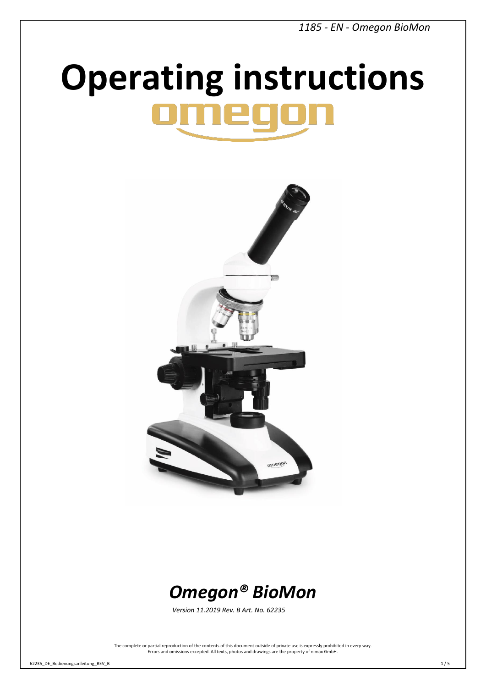# **Operating instructions**





*Version 11.2019 Rev. B Art. No. 62235* 

The complete or partial reproduction of the contents of this document outside of private use is expressly prohibited in every way. Errors and omissions excepted. All texts, photos and drawings are the property of nimax GmbH.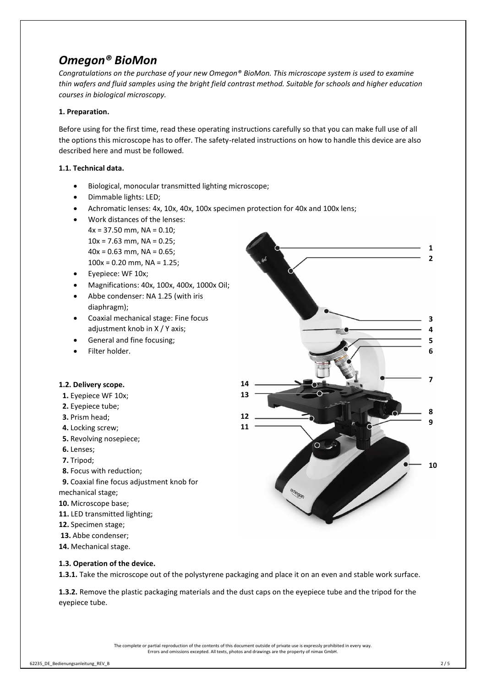# *Omegon® BioMon*

*Congratulations on the purchase of your new Omegon® BioMon. This microscope system is used to examine thin wafers and fluid samples using the bright field contrast method. Suitable for schools and higher education courses in biological microscopy.*

# **1. Preparation.**

Before using for the first time, read these operating instructions carefully so that you can make full use of all the options this microscope has to offer. The safety-related instructions on how to handle this device are also described here and must be followed.

# **1.1. Technical data.**

- Biological, monocular transmitted lighting microscope;
- Dimmable lights: LED;
- Achromatic lenses: 4x, 10x, 40x, 100x specimen protection for 40x and 100x lens;
- Work distances of the lenses:  $4x = 37.50$  mm, NA = 0.10;  $10x = 7.63$  mm, NA = 0.25;  $40x = 0.63$  mm, NA = 0.65;  $100x = 0.20$  mm, NA = 1.25;
- Eyepiece: WF 10x;
- Magnifications: 40x, 100x, 400x, 1000x Oil;
- Abbe condenser: NA 1.25 (with iris diaphragm);
- Coaxial mechanical stage: Fine focus adjustment knob in X / Y axis;
- General and fine focusing;
- Filter holder.

## **1.2. Delivery scope.**

- **1.** Eyepiece WF 10x;
- **2.** Eyepiece tube;
- **3.** Prism head;
- **4.** Locking screw;
- **5.** Revolving nosepiece;
- **6.** Lenses;
- **7.** Tripod;
- **8.** Focus with reduction;
- **9.** Coaxial fine focus adjustment knob for mechanical stage;
- **10.** Microscope base;
- **11.** LED transmitted lighting;
- **12.** Specimen stage;
- **13.** Abbe condenser;
- **14.** Mechanical stage.



**1.3. Operation of the device.**

**1.3.1.** Take the microscope out of the polystyrene packaging and place it on an even and stable work surface.

**1.3.2.** Remove the plastic packaging materials and the dust caps on the eyepiece tube and the tripod for the eyepiece tube.

> The complete or partial reproduction of the contents of this document outside of private use is expressly prohibited in every way. Errors and omissions excepted. All texts, photos and drawings are the property of nimax GmbH.

62235\_DE\_Bedienungsanleitung\_REV\_B 2 / 5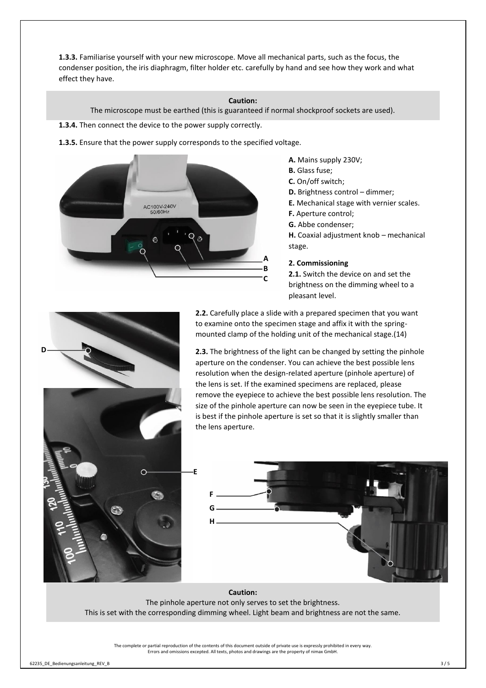**1.3.3.** Familiarise yourself with your new microscope. Move all mechanical parts, such as the focus, the condenser position, the iris diaphragm, filter holder etc. carefully by hand and see how they work and what effect they have.

#### **Caution:**

The microscope must be earthed (this is guaranteed if normal shockproof sockets are used).

- **1.3.4.** Then connect the device to the power supply correctly.
- **1.3.5.** Ensure that the power supply corresponds to the specified voltage.



- **A.** Mains supply 230V;
- **B.** Glass fuse;
- **C.** On/off switch;
- **D.** Brightness control dimmer;
- **E.** Mechanical stage with vernier scales.
- **F.** Aperture control;
- **G.** Abbe condenser;
- **H.** Coaxial adjustment knob mechanical stage.

#### **2. Commissioning**

**2.1.** Switch the device on and set the brightness on the dimming wheel to a pleasant level.



**2.2.** Carefully place a slide with a prepared specimen that you want to examine onto the specimen stage and affix it with the springmounted clamp of the holding unit of the mechanical stage.(14)

**2.3.** The brightness of the light can be changed by setting the pinhole aperture on the condenser. You can achieve the best possible lens resolution when the design-related aperture (pinhole aperture) of the lens is set. If the examined specimens are replaced, please remove the eyepiece to achieve the best possible lens resolution. The size of the pinhole aperture can now be seen in the eyepiece tube. It is best if the pinhole aperture is set so that it is slightly smaller than the lens aperture.





**Caution:** The pinhole aperture not only serves to set the brightness. This is set with the corresponding dimming wheel. Light beam and brightness are not the same.

The complete or partial reproduction of the contents of this document outside of private use is expressly prohibited in every way. Errors and omissions excepted. All texts, photos and drawings are the property of nimax GmbH.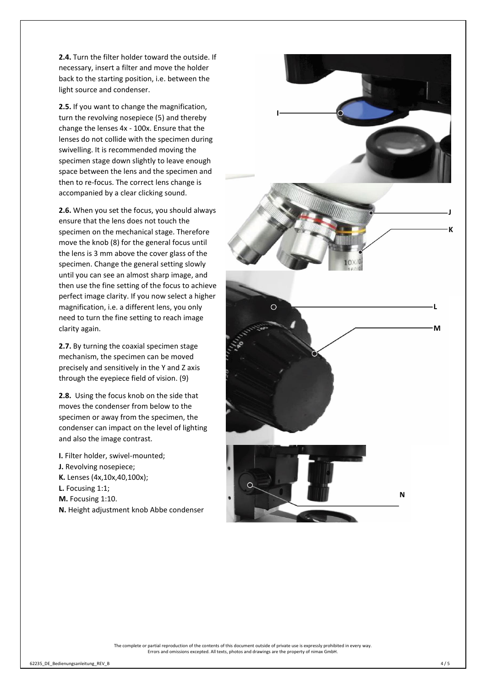**2.4.** Turn the filter holder toward the outside. If necessary, insert a filter and move the holder back to the starting position, i.e. between the light source and condenser.

**2.5.** If you want to change the magnification, turn the revolving nosepiece (5) and thereby change the lenses 4x - 100x. Ensure that the lenses do not collide with the specimen during swivelling. It is recommended moving the specimen stage down slightly to leave enough space between the lens and the specimen and then to re-focus. The correct lens change is accompanied by a clear clicking sound.

**2.6.** When you set the focus, you should always ensure that the lens does not touch the specimen on the mechanical stage. Therefore move the knob (8) for the general focus until the lens is 3 mm above the cover glass of the specimen. Change the general setting slowly until you can see an almost sharp image, and then use the fine setting of the focus to achieve perfect image clarity. If you now select a higher magnification, i.e. a different lens, you only need to turn the fine setting to reach image clarity again.

**2.7.** By turning the coaxial specimen stage mechanism, the specimen can be moved precisely and sensitively in the Y and Z axis through the eyepiece field of vision. (9)

**2.8.** Using the focus knob on the side that moves the condenser from below to the specimen or away from the specimen, the condenser can impact on the level of lighting and also the image contrast.

- **I.** Filter holder, swivel-mounted;
- **J.** Revolving nosepiece;
- **K.** Lenses (4x,10x,40,100x);
- **L.** Focusing 1:1;
- **M.** Focusing 1:10.
- **N.** Height adjustment knob Abbe condenser



The complete or partial reproduction of the contents of this document outside of private use is expressly prohibited in every way. Errors and omissions excepted. All texts, photos and drawings are the property of nimax GmbH.